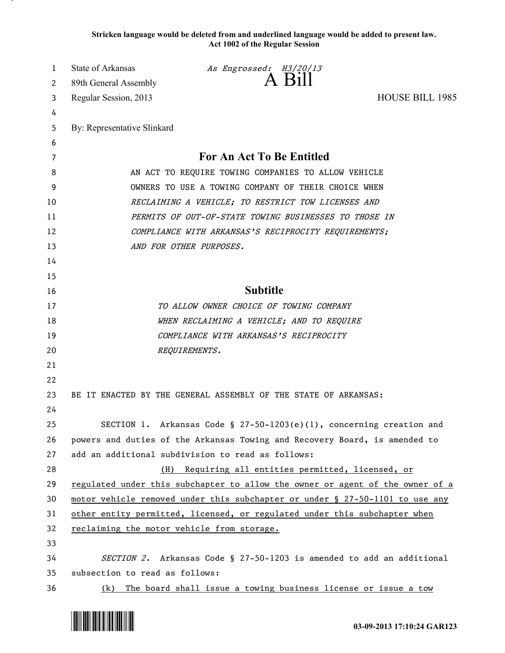**Stricken language would be deleted from and underlined language would be added to present law. Act 1002 of the Regular Session**

| 1  | <b>State of Arkansas</b>                                                      | As Engrossed: H3/20/13                                               |                        |
|----|-------------------------------------------------------------------------------|----------------------------------------------------------------------|------------------------|
| 2  | 89th General Assembly                                                         | A Bill                                                               |                        |
| 3  | Regular Session, 2013                                                         |                                                                      | <b>HOUSE BILL 1985</b> |
| 4  |                                                                               |                                                                      |                        |
| 5  | By: Representative Slinkard                                                   |                                                                      |                        |
| 6  |                                                                               |                                                                      |                        |
| 7  | For An Act To Be Entitled                                                     |                                                                      |                        |
| 8  | AN ACT TO REQUIRE TOWING COMPANIES TO ALLOW VEHICLE                           |                                                                      |                        |
| 9  | OWNERS TO USE A TOWING COMPANY OF THEIR CHOICE WHEN                           |                                                                      |                        |
| 10 | RECLAIMING A VEHICLE; TO RESTRICT TOW LICENSES AND                            |                                                                      |                        |
| 11 | PERMITS OF OUT-OF-STATE TOWING BUSINESSES TO THOSE IN                         |                                                                      |                        |
| 12 | COMPLIANCE WITH ARKANSAS'S RECIPROCITY REQUIREMENTS;                          |                                                                      |                        |
| 13 |                                                                               | AND FOR OTHER PURPOSES.                                              |                        |
| 14 |                                                                               |                                                                      |                        |
| 15 |                                                                               |                                                                      |                        |
| 16 | <b>Subtitle</b>                                                               |                                                                      |                        |
| 17 | TO ALLOW OWNER CHOICE OF TOWING COMPANY                                       |                                                                      |                        |
| 18 | WHEN RECLAIMING A VEHICLE; AND TO REQUIRE                                     |                                                                      |                        |
| 19 | COMPLIANCE WITH ARKANSAS'S RECIPROCITY                                        |                                                                      |                        |
| 20 |                                                                               | REQUIREMENTS.                                                        |                        |
| 21 |                                                                               |                                                                      |                        |
| 22 |                                                                               |                                                                      |                        |
| 23 |                                                                               | BE IT ENACTED BY THE GENERAL ASSEMBLY OF THE STATE OF ARKANSAS:      |                        |
| 24 |                                                                               |                                                                      |                        |
| 25 |                                                                               | SECTION 1. Arkansas Code § 27-50-1203(e)(1), concerning creation and |                        |
| 26 | powers and duties of the Arkansas Towing and Recovery Board, is amended to    |                                                                      |                        |
| 27 | add an additional subdivision to read as follows:                             |                                                                      |                        |
| 28 | Requiring all entities permitted, licensed, or<br>(H)                         |                                                                      |                        |
| 29 | regulated under this subchapter to allow the owner or agent of the owner of a |                                                                      |                        |
| 30 | motor vehicle removed under this subchapter or under § 27-50-1101 to use any  |                                                                      |                        |
| 31 | other entity permitted, licensed, or regulated under this subchapter when     |                                                                      |                        |
| 32 | reclaiming the motor vehicle from storage.                                    |                                                                      |                        |
| 33 |                                                                               |                                                                      |                        |
| 34 | SECTION 2. Arkansas Code § 27-50-1203 is amended to add an additional         |                                                                      |                        |
| 35 | subsection to read as follows:                                                |                                                                      |                        |
| 36 | (k)                                                                           | The board shall issue a towing business license or issue a tow       |                        |